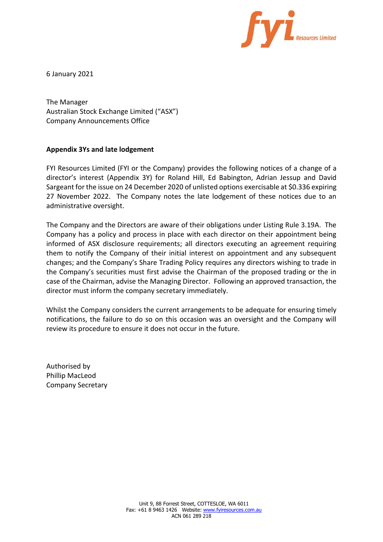

6 January 2021

The Manager Australian Stock Exchange Limited ("ASX") Company Announcements Office

### **Appendix 3Ys and late lodgement**

FYI Resources Limited (FYI or the Company) provides the following notices of a change of a director's interest (Appendix 3Y) for Roland Hill, Ed Babington, Adrian Jessup and David Sargeant for the issue on 24 December 2020 of unlisted options exercisable at \$0.336 expiring 27 November 2022. The Company notes the late lodgement of these notices due to an administrative oversight.

The Company and the Directors are aware of their obligations under Listing Rule 3.19A. The Company has a policy and process in place with each director on their appointment being informed of ASX disclosure requirements; all directors executing an agreement requiring them to notify the Company of their initial interest on appointment and any subsequent changes; and the Company's Share Trading Policy requires any directors wishing to trade in the Company's securities must first advise the Chairman of the proposed trading or the in case of the Chairman, advise the Managing Director. Following an approved transaction, the director must inform the company secretary immediately.

Whilst the Company considers the current arrangements to be adequate for ensuring timely notifications, the failure to do so on this occasion was an oversight and the Company will review its procedure to ensure it does not occur in the future.

Authorised by Phillip MacLeod Company Secretary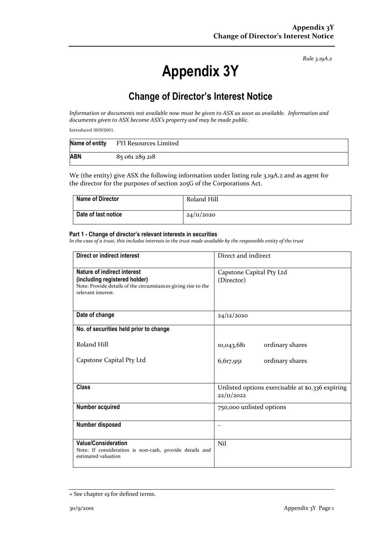# **Appendix 3Y**

## **Change of Director's Interest Notice**

*Information or documents not available now must be given to ASX as soon as available. Information and documents given to ASX become ASX's property and may be made public.*

Introduced 30/9/2001.

|            | Name of entity FYI Resources Limited |
|------------|--------------------------------------|
| <b>ABN</b> | 85 061 289 218                       |

We (the entity) give ASX the following information under listing rule 3.19A.2 and as agent for the director for the purposes of section 205G of the Corporations Act.

| <b>Name of Director</b> | Roland Hill |
|-------------------------|-------------|
| Date of last notice     | 24/11/2020  |

#### **Part 1 - Change of director's relevant interests in securities**

| Direct or indirect interest                                                                                                                         | Direct and indirect                                            |  |
|-----------------------------------------------------------------------------------------------------------------------------------------------------|----------------------------------------------------------------|--|
| Nature of indirect interest<br>(including registered holder)<br>Note: Provide details of the circumstances giving rise to the<br>relevant interest. | Capstone Capital Pty Ltd<br>(Director)                         |  |
| Date of change                                                                                                                                      | 24/12/2020                                                     |  |
| No. of securities held prior to change                                                                                                              |                                                                |  |
| Roland Hill                                                                                                                                         | ordinary shares<br>10,043,681                                  |  |
| Capstone Capital Pty Ltd                                                                                                                            | 6,617,951<br>ordinary shares                                   |  |
| <b>Class</b>                                                                                                                                        | Unlisted options exercisable at \$0.336 expiring<br>22/11/2022 |  |
| Number acquired                                                                                                                                     | 750,000 unlisted options                                       |  |
| Number disposed                                                                                                                                     | $\overline{\phantom{a}}$                                       |  |
| Value/Consideration<br>Note: If consideration is non-cash, provide details and<br>estimated valuation                                               | Nil                                                            |  |

<sup>+</sup> See chapter 19 for defined terms.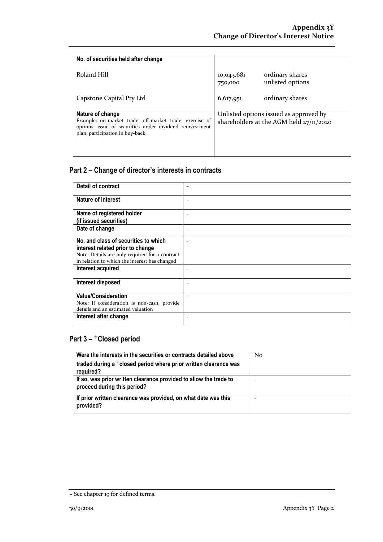| No. of securities held after change                                                                                                                    |                                                              |  |
|--------------------------------------------------------------------------------------------------------------------------------------------------------|--------------------------------------------------------------|--|
| Roland Hill                                                                                                                                            | ordinary shares<br>10,043,681<br>unlisted options<br>750,000 |  |
| Capstone Capital Pty Ltd                                                                                                                               | ordinary shares<br>6,617,951                                 |  |
| Nature of change                                                                                                                                       | Unlisted options issued as approved by                       |  |
| Example: on-market trade, off-market trade, exercise of<br>options, issue of securities under dividend reinvestment<br>plan, participation in buy-back | shareholders at the AGM held $27/11/2020$                    |  |

| Detail of contract                                                                              |  |
|-------------------------------------------------------------------------------------------------|--|
| Nature of interest                                                                              |  |
| Name of registered holder                                                                       |  |
| (if issued securities)                                                                          |  |
| Date of change                                                                                  |  |
| No. and class of securities to which                                                            |  |
| interest related prior to change                                                                |  |
| Note: Details are only required for a contract<br>in relation to which the interest has changed |  |
| Interest acquired                                                                               |  |
| Interest disposed                                                                               |  |
| <b>Value/Consideration</b>                                                                      |  |
| Note: If consideration is non-cash, provide                                                     |  |
| details and an estimated valuation                                                              |  |
| Interest after change                                                                           |  |

| Were the interests in the securities or contracts detailed above                                 | N <sub>0</sub> |
|--------------------------------------------------------------------------------------------------|----------------|
| traded during a <sup>+</sup> closed period where prior written clearance was                     |                |
| required?                                                                                        |                |
| If so, was prior written clearance provided to allow the trade to<br>proceed during this period? |                |
| If prior written clearance was provided, on what date was this<br>provided?                      |                |

<sup>+</sup> See chapter 19 for defined terms.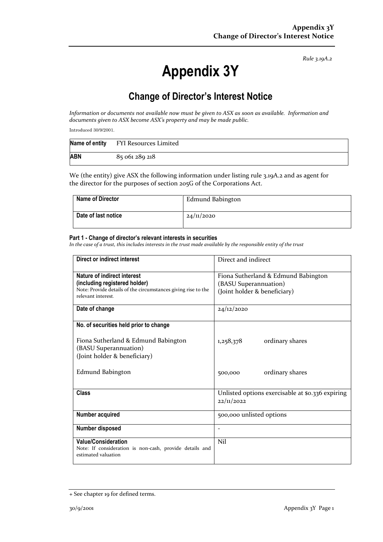# **Appendix 3Y**

## **Change of Director's Interest Notice**

*Information or documents not available now must be given to ASX as soon as available. Information and documents given to ASX become ASX's property and may be made public.*

Introduced 30/9/2001.

|            | Name of entity FYI Resources Limited |
|------------|--------------------------------------|
| <b>ABN</b> | 85 061 289 218                       |

We (the entity) give ASX the following information under listing rule 3.19A.2 and as agent for the director for the purposes of section 205G of the Corporations Act.

| <b>Name of Director</b> | Edmund Babington    |
|-------------------------|---------------------|
| Date of last notice     | $24/\frac{1}{2020}$ |

#### **Part 1 - Change of director's relevant interests in securities**

| Direct or indirect interest                                                                                                                         | Direct and indirect                                                                          |  |
|-----------------------------------------------------------------------------------------------------------------------------------------------------|----------------------------------------------------------------------------------------------|--|
| Nature of indirect interest<br>(including registered holder)<br>Note: Provide details of the circumstances giving rise to the<br>relevant interest. | Fiona Sutherland & Edmund Babington<br>(BASU Superannuation)<br>(Joint holder & beneficiary) |  |
| Date of change                                                                                                                                      | 24/12/2020                                                                                   |  |
| No. of securities held prior to change                                                                                                              |                                                                                              |  |
| Fiona Sutherland & Edmund Babington<br>(BASU Superannuation)<br>(Joint holder & beneficiary)                                                        | ordinary shares<br>1,258,378                                                                 |  |
| Edmund Babington                                                                                                                                    | ordinary shares<br>500,000                                                                   |  |
| <b>Class</b>                                                                                                                                        | Unlisted options exercisable at \$0.336 expiring<br>22/11/2022                               |  |
| Number acquired                                                                                                                                     | 500,000 unlisted options                                                                     |  |
| Number disposed                                                                                                                                     | $\overline{\phantom{0}}$                                                                     |  |
| <b>Value/Consideration</b><br>Note: If consideration is non-cash, provide details and<br>estimated valuation                                        | Nil                                                                                          |  |

<sup>+</sup> See chapter 19 for defined terms.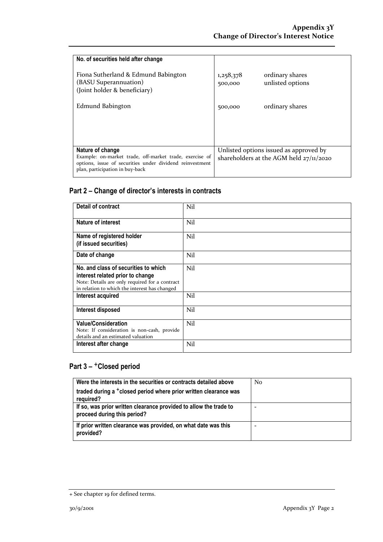| No. of securities held after change                                                                                                                    |                                           |                                        |
|--------------------------------------------------------------------------------------------------------------------------------------------------------|-------------------------------------------|----------------------------------------|
| Fiona Sutherland & Edmund Babington<br>(BASU Superannuation)<br>(Joint holder & beneficiary)                                                           | 1,258,378<br>500,000                      | ordinary shares<br>unlisted options    |
| Edmund Babington                                                                                                                                       | 500,000                                   | ordinary shares                        |
|                                                                                                                                                        |                                           |                                        |
|                                                                                                                                                        |                                           |                                        |
| Nature of change                                                                                                                                       |                                           | Unlisted options issued as approved by |
| Example: on-market trade, off-market trade, exercise of<br>options, issue of securities under dividend reinvestment<br>plan, participation in buy-back | shareholders at the AGM held $27/11/2020$ |                                        |

| <b>Detail of contract</b>                                                                                                                                                   | Nil |
|-----------------------------------------------------------------------------------------------------------------------------------------------------------------------------|-----|
| Nature of interest                                                                                                                                                          | Nil |
| Name of registered holder<br>(if issued securities)                                                                                                                         | Nil |
| Date of change                                                                                                                                                              | Nil |
| No. and class of securities to which<br>interest related prior to change<br>Note: Details are only required for a contract<br>in relation to which the interest has changed | Nil |
| Interest acquired                                                                                                                                                           | Nil |
| Interest disposed                                                                                                                                                           | Nil |
| <b>Value/Consideration</b><br>Note: If consideration is non-cash, provide<br>details and an estimated valuation                                                             | Nil |
| Interest after change                                                                                                                                                       | Nil |

| Were the interests in the securities or contracts detailed above                                 | N <sub>0</sub> |
|--------------------------------------------------------------------------------------------------|----------------|
| traded during a <sup>+</sup> closed period where prior written clearance was<br>required?        |                |
| If so, was prior written clearance provided to allow the trade to<br>proceed during this period? |                |
| If prior written clearance was provided, on what date was this<br>provided?                      |                |

<sup>+</sup> See chapter 19 for defined terms.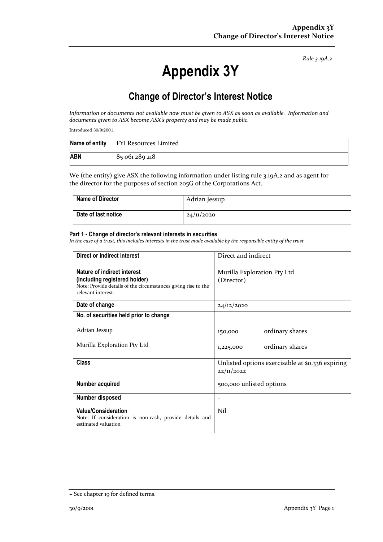# **Appendix 3Y**

## **Change of Director's Interest Notice**

*Information or documents not available now must be given to ASX as soon as available. Information and documents given to ASX become ASX's property and may be made public.*

Introduced 30/9/2001.

| Name of entity | FYI Resources Limited |
|----------------|-----------------------|
| <b>ABN</b>     | 85 061 289 218        |

We (the entity) give ASX the following information under listing rule 3.19A.2 and as agent for the director for the purposes of section 205G of the Corporations Act.

| <b>Name of Director</b> | Adrian Jessup |
|-------------------------|---------------|
| Date of last notice     | 24/11/2020    |

#### **Part 1 - Change of director's relevant interests in securities**

| Direct or indirect interest                                                                    | Direct and indirect                                            |  |
|------------------------------------------------------------------------------------------------|----------------------------------------------------------------|--|
| Nature of indirect interest                                                                    | Murilla Exploration Pty Ltd                                    |  |
| (including registered holder)<br>Note: Provide details of the circumstances giving rise to the | (Director)                                                     |  |
| relevant interest.                                                                             |                                                                |  |
| Date of change                                                                                 | 24/12/2020                                                     |  |
| No. of securities held prior to change                                                         |                                                                |  |
| Adrian Jessup                                                                                  | ordinary shares<br>150,000                                     |  |
| Murilla Exploration Pty Ltd                                                                    | ordinary shares<br>1,225,000                                   |  |
| <b>Class</b>                                                                                   | Unlisted options exercisable at \$0.336 expiring<br>22/11/2022 |  |
| Number acquired                                                                                | 500,000 unlisted options                                       |  |
| Number disposed                                                                                |                                                                |  |
| <b>Value/Consideration</b>                                                                     | Nil                                                            |  |
| Note: If consideration is non-cash, provide details and<br>estimated valuation                 |                                                                |  |

<sup>+</sup> See chapter 19 for defined terms.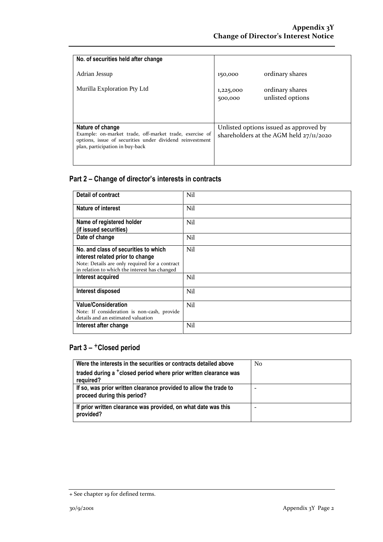| No. of securities held after change                                                                                                                                        |                                                                                     |                                     |
|----------------------------------------------------------------------------------------------------------------------------------------------------------------------------|-------------------------------------------------------------------------------------|-------------------------------------|
| Adrian Jessup                                                                                                                                                              | 150,000                                                                             | ordinary shares                     |
| Murilla Exploration Pty Ltd                                                                                                                                                | 1,225,000<br>500,000                                                                | ordinary shares<br>unlisted options |
| Nature of change<br>Example: on-market trade, off-market trade, exercise of<br>options, issue of securities under dividend reinvestment<br>plan, participation in buy-back | Unlisted options issued as approved by<br>shareholders at the AGM held $27/11/2020$ |                                     |

| Detail of contract                                                                                              | Nil |
|-----------------------------------------------------------------------------------------------------------------|-----|
| Nature of interest                                                                                              | Nil |
| Name of registered holder                                                                                       | Nil |
| (if issued securities)                                                                                          |     |
| Date of change                                                                                                  | Nil |
| No. and class of securities to which                                                                            | Nil |
| interest related prior to change                                                                                |     |
| Note: Details are only required for a contract<br>in relation to which the interest has changed                 |     |
| Interest acquired                                                                                               | Nil |
| Interest disposed                                                                                               | Nil |
| <b>Value/Consideration</b><br>Note: If consideration is non-cash, provide<br>details and an estimated valuation | Nil |
| Interest after change                                                                                           | Nil |

| Were the interests in the securities or contracts detailed above                                 | N <sub>0</sub> |
|--------------------------------------------------------------------------------------------------|----------------|
| traded during a <sup>+</sup> closed period where prior written clearance was<br>required?        |                |
| If so, was prior written clearance provided to allow the trade to<br>proceed during this period? | -              |
| If prior written clearance was provided, on what date was this<br>provided?                      |                |

<sup>+</sup> See chapter 19 for defined terms.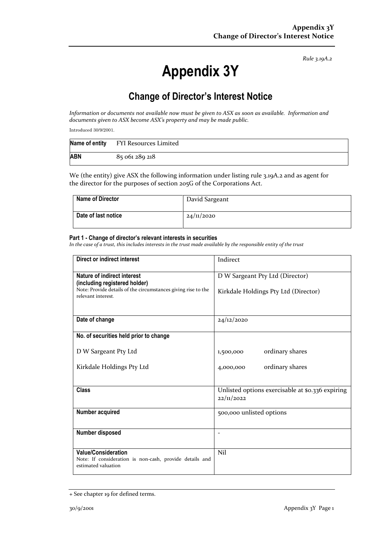# **Appendix 3Y**

## **Change of Director's Interest Notice**

*Information or documents not available now must be given to ASX as soon as available. Information and documents given to ASX become ASX's property and may be made public.*

Introduced 30/9/2001.

| Name of entity | FYI Resources Limited |
|----------------|-----------------------|
| <b>ABN</b>     | 85 061 289 218        |

We (the entity) give ASX the following information under listing rule 3.19A.2 and as agent for the director for the purposes of section 205G of the Corporations Act.

| Name of Director    | David Sargeant |
|---------------------|----------------|
| Date of last notice | 24/11/2020     |

#### **Part 1 - Change of director's relevant interests in securities**

| Direct or indirect interest                                                                                  | Indirect                                                       |
|--------------------------------------------------------------------------------------------------------------|----------------------------------------------------------------|
| Nature of indirect interest<br>(including registered holder)                                                 | D W Sargeant Pty Ltd (Director)                                |
| Note: Provide details of the circumstances giving rise to the<br>relevant interest.                          | Kirkdale Holdings Pty Ltd (Director)                           |
| Date of change                                                                                               | 24/12/2020                                                     |
| No. of securities held prior to change                                                                       |                                                                |
| D W Sargeant Pty Ltd                                                                                         | ordinary shares<br>1,500,000                                   |
| Kirkdale Holdings Pty Ltd                                                                                    | ordinary shares<br>4,000,000                                   |
| <b>Class</b>                                                                                                 | Unlisted options exercisable at \$0.336 expiring<br>22/11/2022 |
| Number acquired                                                                                              | 500,000 unlisted options                                       |
| Number disposed                                                                                              | $\overline{\phantom{0}}$                                       |
| <b>Value/Consideration</b><br>Note: If consideration is non-cash, provide details and<br>estimated valuation | Nil                                                            |

<sup>+</sup> See chapter 19 for defined terms.